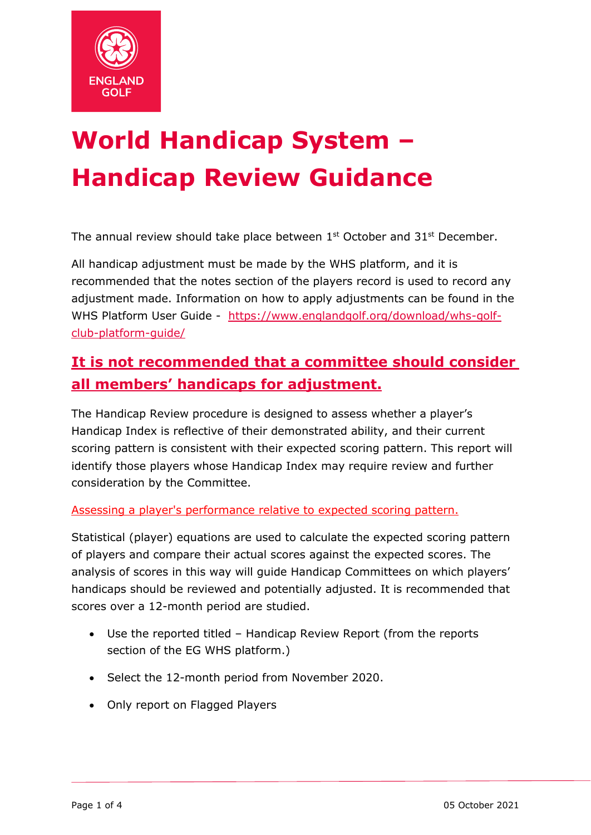

# **World Handicap System – Handicap Review Guidance**

The annual review should take place between  $1<sup>st</sup>$  October and  $31<sup>st</sup>$  December.

All handicap adjustment must be made by the WHS platform, and it is recommended that the notes section of the players record is used to record any adjustment made. Information on how to apply adjustments can be found in the WHS Platform User Guide - [https://www.englandgolf.org/download/whs-golf](https://www.englandgolf.org/download/whs-golf-club-platform-guide/)[club-platform-guide/](https://www.englandgolf.org/download/whs-golf-club-platform-guide/)

# **It is not recommended that a committee should consider all members' handicaps for adjustment.**

The Handicap Review procedure is designed to assess whether a player's Handicap Index is reflective of their demonstrated ability, and their current scoring pattern is consistent with their expected scoring pattern. This report will identify those players whose Handicap Index may require review and further consideration by the Committee.

Assessing a player's performance relative to expected scoring pattern.

Statistical (player) equations are used to calculate the expected scoring pattern of players and compare their actual scores against the expected scores. The analysis of scores in this way will guide Handicap Committees on which players' handicaps should be reviewed and potentially adjusted. It is recommended that scores over a 12-month period are studied.

- Use the reported titled Handicap Review Report (from the reports section of the EG WHS platform.)
- Select the 12-month period from November 2020.
- Only report on Flagged Players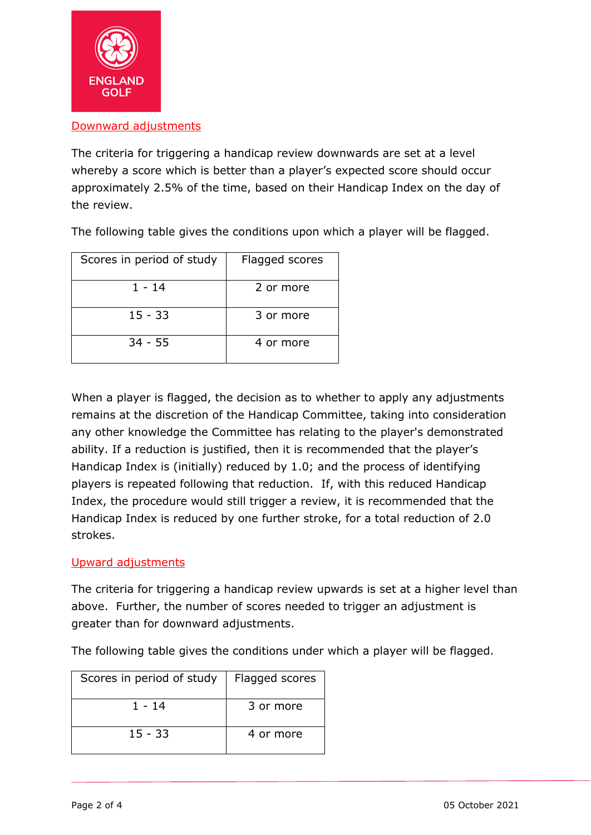

# Downward adjustments

The criteria for triggering a handicap review downwards are set at a level whereby a score which is better than a player's expected score should occur approximately 2.5% of the time, based on their Handicap Index on the day of the review.

The following table gives the conditions upon which a player will be flagged.

| Scores in period of study | Flagged scores |
|---------------------------|----------------|
| 1 - 14                    | 2 or more      |
| $15 - 33$                 | 3 or more      |
| $34 - 55$                 | 4 or more      |

When a player is flagged, the decision as to whether to apply any adjustments remains at the discretion of the Handicap Committee, taking into consideration any other knowledge the Committee has relating to the player's demonstrated ability. If a reduction is justified, then it is recommended that the player's Handicap Index is (initially) reduced by 1.0; and the process of identifying players is repeated following that reduction. If, with this reduced Handicap Index, the procedure would still trigger a review, it is recommended that the Handicap Index is reduced by one further stroke, for a total reduction of 2.0 strokes.

# Upward adjustments

The criteria for triggering a handicap review upwards is set at a higher level than above. Further, the number of scores needed to trigger an adjustment is greater than for downward adjustments.

The following table gives the conditions under which a player will be flagged.

| Scores in period of study | Flagged scores |
|---------------------------|----------------|
| 1 - 14                    | 3 or more      |
| $15 - 33$                 | 4 or more      |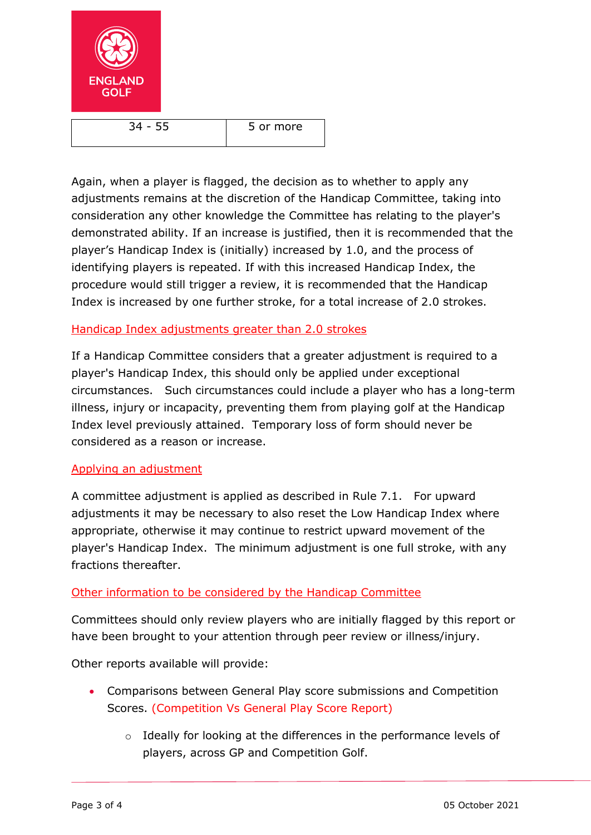

 $34 - 55$   $\phantom{000}$  5 or more

Again, when a player is flagged, the decision as to whether to apply any adjustments remains at the discretion of the Handicap Committee, taking into consideration any other knowledge the Committee has relating to the player's demonstrated ability. If an increase is justified, then it is recommended that the player's Handicap Index is (initially) increased by 1.0, and the process of identifying players is repeated. If with this increased Handicap Index, the procedure would still trigger a review, it is recommended that the Handicap Index is increased by one further stroke, for a total increase of 2.0 strokes.

# Handicap Index adjustments greater than 2.0 strokes

If a Handicap Committee considers that a greater adjustment is required to a player's Handicap Index, this should only be applied under exceptional circumstances. Such circumstances could include a player who has a long-term illness, injury or incapacity, preventing them from playing golf at the Handicap Index level previously attained. Temporary loss of form should never be considered as a reason or increase.

## Applying an adjustment

A committee adjustment is applied as described in Rule 7.1. For upward adjustments it may be necessary to also reset the Low Handicap Index where appropriate, otherwise it may continue to restrict upward movement of the player's Handicap Index. The minimum adjustment is one full stroke, with any fractions thereafter.

## Other information to be considered by the Handicap Committee

Committees should only review players who are initially flagged by this report or have been brought to your attention through peer review or illness/injury.

Other reports available will provide:

- Comparisons between General Play score submissions and Competition Scores. (Competition Vs General Play Score Report)
	- o Ideally for looking at the differences in the performance levels of players, across GP and Competition Golf.